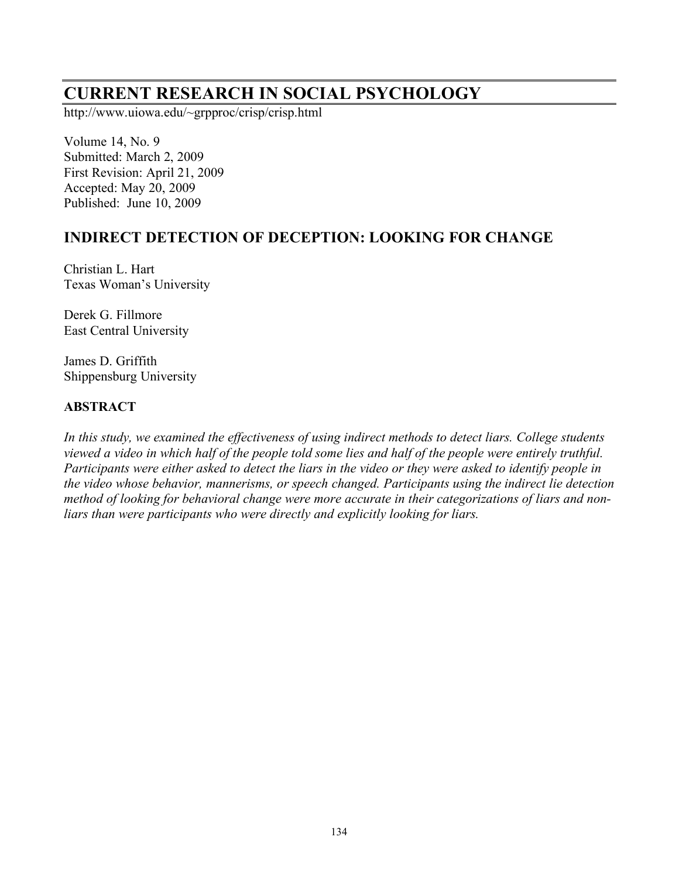# **CURRENT RESEARCH IN SOCIAL PSYCHOLOGY**

http://www.uiowa.edu/~grpproc/crisp/crisp.html

Volume 14, No. 9 Submitted: March 2, 2009 First Revision: April 21, 2009 Accepted: May 20, 2009 Published: June 10, 2009

# **INDIRECT DETECTION OF DECEPTION: LOOKING FOR CHANGE**

Christian L. Hart Texas Woman's University

Derek G. Fillmore East Central University

James D. Griffith Shippensburg University

#### **ABSTRACT**

*In this study, we examined the effectiveness of using indirect methods to detect liars. College students viewed a video in which half of the people told some lies and half of the people were entirely truthful. Participants were either asked to detect the liars in the video or they were asked to identify people in the video whose behavior, mannerisms, or speech changed. Participants using the indirect lie detection method of looking for behavioral change were more accurate in their categorizations of liars and nonliars than were participants who were directly and explicitly looking for liars.*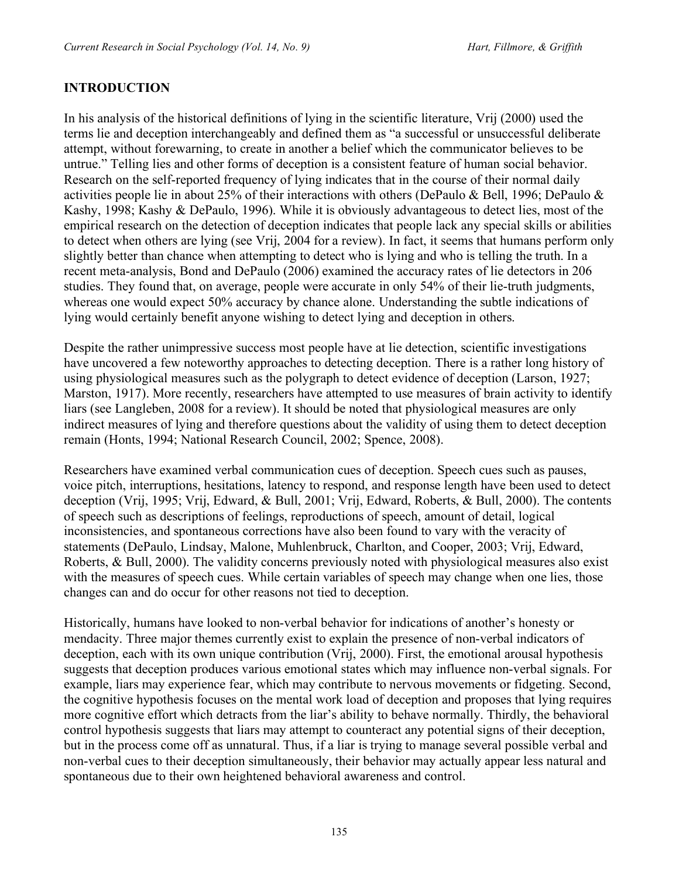#### **INTRODUCTION**

In his analysis of the historical definitions of lying in the scientific literature, Vrij (2000) used the terms lie and deception interchangeably and defined them as "a successful or unsuccessful deliberate attempt, without forewarning, to create in another a belief which the communicator believes to be untrue." Telling lies and other forms of deception is a consistent feature of human social behavior. Research on the self-reported frequency of lying indicates that in the course of their normal daily activities people lie in about 25% of their interactions with others (DePaulo & Bell, 1996; DePaulo & Kashy, 1998; Kashy & DePaulo, 1996). While it is obviously advantageous to detect lies, most of the empirical research on the detection of deception indicates that people lack any special skills or abilities to detect when others are lying (see Vrij, 2004 for a review). In fact, it seems that humans perform only slightly better than chance when attempting to detect who is lying and who is telling the truth. In a recent meta-analysis, Bond and DePaulo (2006) examined the accuracy rates of lie detectors in 206 studies. They found that, on average, people were accurate in only 54% of their lie-truth judgments, whereas one would expect 50% accuracy by chance alone. Understanding the subtle indications of lying would certainly benefit anyone wishing to detect lying and deception in others.

Despite the rather unimpressive success most people have at lie detection, scientific investigations have uncovered a few noteworthy approaches to detecting deception. There is a rather long history of using physiological measures such as the polygraph to detect evidence of deception (Larson, 1927; Marston, 1917). More recently, researchers have attempted to use measures of brain activity to identify liars (see Langleben, 2008 for a review). It should be noted that physiological measures are only indirect measures of lying and therefore questions about the validity of using them to detect deception remain (Honts, 1994; National Research Council, 2002; Spence, 2008).

Researchers have examined verbal communication cues of deception. Speech cues such as pauses, voice pitch, interruptions, hesitations, latency to respond, and response length have been used to detect deception (Vrij, 1995; Vrij, Edward, & Bull, 2001; Vrij, Edward, Roberts, & Bull, 2000). The contents of speech such as descriptions of feelings, reproductions of speech, amount of detail, logical inconsistencies, and spontaneous corrections have also been found to vary with the veracity of statements (DePaulo, Lindsay, Malone, Muhlenbruck, Charlton, and Cooper, 2003; Vrij, Edward, Roberts, & Bull, 2000). The validity concerns previously noted with physiological measures also exist with the measures of speech cues. While certain variables of speech may change when one lies, those changes can and do occur for other reasons not tied to deception.

Historically, humans have looked to non-verbal behavior for indications of another's honesty or mendacity. Three major themes currently exist to explain the presence of non-verbal indicators of deception, each with its own unique contribution (Vrij, 2000). First, the emotional arousal hypothesis suggests that deception produces various emotional states which may influence non-verbal signals. For example, liars may experience fear, which may contribute to nervous movements or fidgeting. Second, the cognitive hypothesis focuses on the mental work load of deception and proposes that lying requires more cognitive effort which detracts from the liar's ability to behave normally. Thirdly, the behavioral control hypothesis suggests that liars may attempt to counteract any potential signs of their deception, but in the process come off as unnatural. Thus, if a liar is trying to manage several possible verbal and non-verbal cues to their deception simultaneously, their behavior may actually appear less natural and spontaneous due to their own heightened behavioral awareness and control.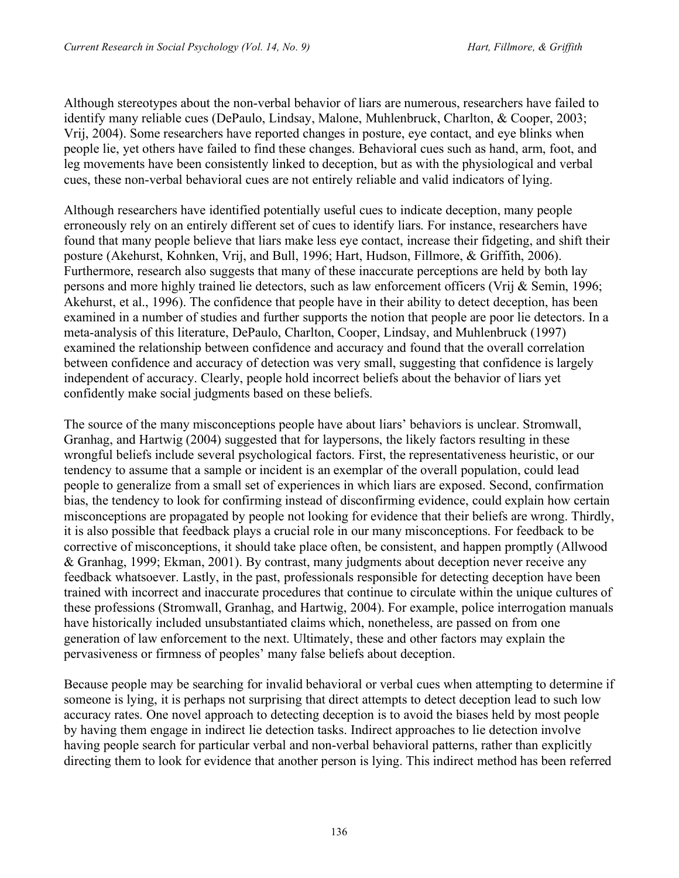Although stereotypes about the non-verbal behavior of liars are numerous, researchers have failed to identify many reliable cues (DePaulo, Lindsay, Malone, Muhlenbruck, Charlton, & Cooper, 2003; Vrij, 2004). Some researchers have reported changes in posture, eye contact, and eye blinks when people lie, yet others have failed to find these changes. Behavioral cues such as hand, arm, foot, and leg movements have been consistently linked to deception, but as with the physiological and verbal cues, these non-verbal behavioral cues are not entirely reliable and valid indicators of lying.

Although researchers have identified potentially useful cues to indicate deception, many people erroneously rely on an entirely different set of cues to identify liars. For instance, researchers have found that many people believe that liars make less eye contact, increase their fidgeting, and shift their posture (Akehurst, Kohnken, Vrij, and Bull, 1996; Hart, Hudson, Fillmore, & Griffith, 2006). Furthermore, research also suggests that many of these inaccurate perceptions are held by both lay persons and more highly trained lie detectors, such as law enforcement officers (Vrij & Semin, 1996; Akehurst, et al., 1996). The confidence that people have in their ability to detect deception, has been examined in a number of studies and further supports the notion that people are poor lie detectors. In a meta-analysis of this literature, DePaulo, Charlton, Cooper, Lindsay, and Muhlenbruck (1997) examined the relationship between confidence and accuracy and found that the overall correlation between confidence and accuracy of detection was very small, suggesting that confidence is largely independent of accuracy. Clearly, people hold incorrect beliefs about the behavior of liars yet confidently make social judgments based on these beliefs.

The source of the many misconceptions people have about liars' behaviors is unclear. Stromwall, Granhag, and Hartwig (2004) suggested that for laypersons, the likely factors resulting in these wrongful beliefs include several psychological factors. First, the representativeness heuristic, or our tendency to assume that a sample or incident is an exemplar of the overall population, could lead people to generalize from a small set of experiences in which liars are exposed. Second, confirmation bias, the tendency to look for confirming instead of disconfirming evidence, could explain how certain misconceptions are propagated by people not looking for evidence that their beliefs are wrong. Thirdly, it is also possible that feedback plays a crucial role in our many misconceptions. For feedback to be corrective of misconceptions, it should take place often, be consistent, and happen promptly (Allwood & Granhag, 1999; Ekman, 2001). By contrast, many judgments about deception never receive any feedback whatsoever. Lastly, in the past, professionals responsible for detecting deception have been trained with incorrect and inaccurate procedures that continue to circulate within the unique cultures of these professions (Stromwall, Granhag, and Hartwig, 2004). For example, police interrogation manuals have historically included unsubstantiated claims which, nonetheless, are passed on from one generation of law enforcement to the next. Ultimately, these and other factors may explain the pervasiveness or firmness of peoples' many false beliefs about deception.

Because people may be searching for invalid behavioral or verbal cues when attempting to determine if someone is lying, it is perhaps not surprising that direct attempts to detect deception lead to such low accuracy rates. One novel approach to detecting deception is to avoid the biases held by most people by having them engage in indirect lie detection tasks. Indirect approaches to lie detection involve having people search for particular verbal and non-verbal behavioral patterns, rather than explicitly directing them to look for evidence that another person is lying. This indirect method has been referred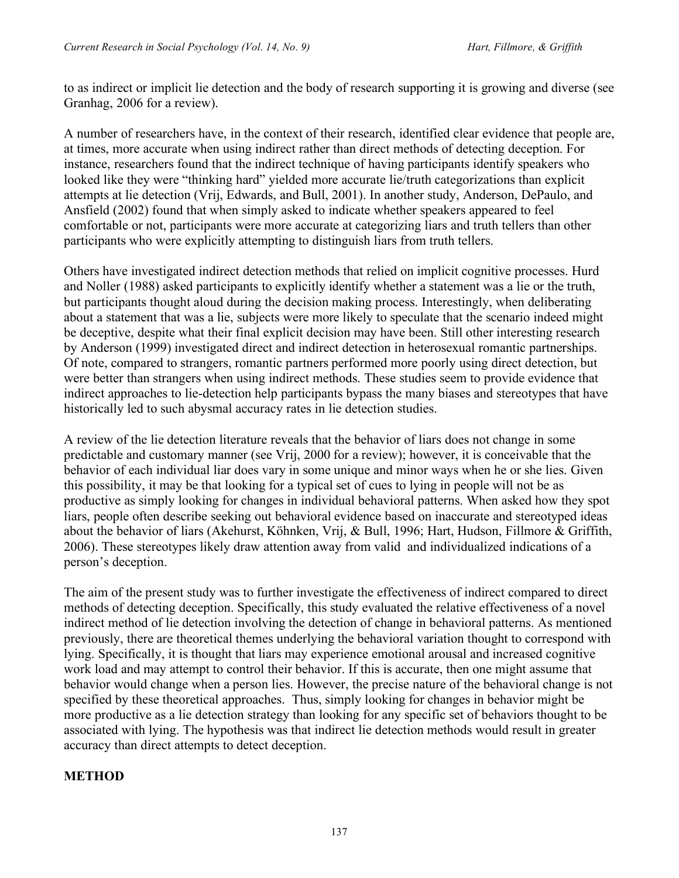to as indirect or implicit lie detection and the body of research supporting it is growing and diverse (see Granhag, 2006 for a review).

A number of researchers have, in the context of their research, identified clear evidence that people are, at times, more accurate when using indirect rather than direct methods of detecting deception. For instance, researchers found that the indirect technique of having participants identify speakers who looked like they were "thinking hard" yielded more accurate lie/truth categorizations than explicit attempts at lie detection (Vrij, Edwards, and Bull, 2001). In another study, Anderson, DePaulo, and Ansfield (2002) found that when simply asked to indicate whether speakers appeared to feel comfortable or not, participants were more accurate at categorizing liars and truth tellers than other participants who were explicitly attempting to distinguish liars from truth tellers.

Others have investigated indirect detection methods that relied on implicit cognitive processes. Hurd and Noller (1988) asked participants to explicitly identify whether a statement was a lie or the truth, but participants thought aloud during the decision making process. Interestingly, when deliberating about a statement that was a lie, subjects were more likely to speculate that the scenario indeed might be deceptive, despite what their final explicit decision may have been. Still other interesting research by Anderson (1999) investigated direct and indirect detection in heterosexual romantic partnerships. Of note, compared to strangers, romantic partners performed more poorly using direct detection, but were better than strangers when using indirect methods. These studies seem to provide evidence that indirect approaches to lie-detection help participants bypass the many biases and stereotypes that have historically led to such abysmal accuracy rates in lie detection studies.

A review of the lie detection literature reveals that the behavior of liars does not change in some predictable and customary manner (see Vrij, 2000 for a review); however, it is conceivable that the behavior of each individual liar does vary in some unique and minor ways when he or she lies. Given this possibility, it may be that looking for a typical set of cues to lying in people will not be as productive as simply looking for changes in individual behavioral patterns. When asked how they spot liars, people often describe seeking out behavioral evidence based on inaccurate and stereotyped ideas about the behavior of liars (Akehurst, Köhnken, Vrij, & Bull, 1996; Hart, Hudson, Fillmore & Griffith, 2006). These stereotypes likely draw attention away from valid and individualized indications of a person's deception.

The aim of the present study was to further investigate the effectiveness of indirect compared to direct methods of detecting deception. Specifically, this study evaluated the relative effectiveness of a novel indirect method of lie detection involving the detection of change in behavioral patterns. As mentioned previously, there are theoretical themes underlying the behavioral variation thought to correspond with lying. Specifically, it is thought that liars may experience emotional arousal and increased cognitive work load and may attempt to control their behavior. If this is accurate, then one might assume that behavior would change when a person lies. However, the precise nature of the behavioral change is not specified by these theoretical approaches. Thus, simply looking for changes in behavior might be more productive as a lie detection strategy than looking for any specific set of behaviors thought to be associated with lying. The hypothesis was that indirect lie detection methods would result in greater accuracy than direct attempts to detect deception.

## **METHOD**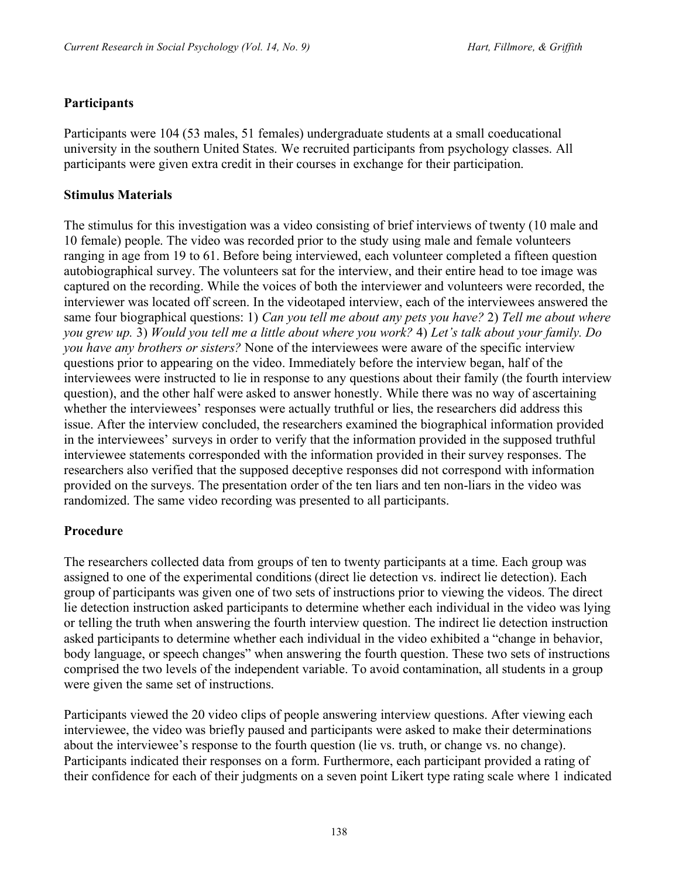#### **Participants**

Participants were 104 (53 males, 51 females) undergraduate students at a small coeducational university in the southern United States. We recruited participants from psychology classes. All participants were given extra credit in their courses in exchange for their participation.

#### **Stimulus Materials**

The stimulus for this investigation was a video consisting of brief interviews of twenty (10 male and 10 female) people. The video was recorded prior to the study using male and female volunteers ranging in age from 19 to 61. Before being interviewed, each volunteer completed a fifteen question autobiographical survey. The volunteers sat for the interview, and their entire head to toe image was captured on the recording. While the voices of both the interviewer and volunteers were recorded, the interviewer was located off screen. In the videotaped interview, each of the interviewees answered the same four biographical questions: 1) *Can you tell me about any pets you have?* 2) *Tell me about where you grew up.* 3) *Would you tell me a little about where you work?* 4) *Let's talk about your family. Do you have any brothers or sisters?* None of the interviewees were aware of the specific interview questions prior to appearing on the video. Immediately before the interview began, half of the interviewees were instructed to lie in response to any questions about their family (the fourth interview question), and the other half were asked to answer honestly. While there was no way of ascertaining whether the interviewees' responses were actually truthful or lies, the researchers did address this issue. After the interview concluded, the researchers examined the biographical information provided in the interviewees' surveys in order to verify that the information provided in the supposed truthful interviewee statements corresponded with the information provided in their survey responses. The researchers also verified that the supposed deceptive responses did not correspond with information provided on the surveys. The presentation order of the ten liars and ten non-liars in the video was randomized. The same video recording was presented to all participants.

#### **Procedure**

The researchers collected data from groups of ten to twenty participants at a time. Each group was assigned to one of the experimental conditions (direct lie detection vs. indirect lie detection). Each group of participants was given one of two sets of instructions prior to viewing the videos. The direct lie detection instruction asked participants to determine whether each individual in the video was lying or telling the truth when answering the fourth interview question. The indirect lie detection instruction asked participants to determine whether each individual in the video exhibited a "change in behavior, body language, or speech changes" when answering the fourth question. These two sets of instructions comprised the two levels of the independent variable. To avoid contamination, all students in a group were given the same set of instructions.

Participants viewed the 20 video clips of people answering interview questions. After viewing each interviewee, the video was briefly paused and participants were asked to make their determinations about the interviewee's response to the fourth question (lie vs. truth, or change vs. no change). Participants indicated their responses on a form. Furthermore, each participant provided a rating of their confidence for each of their judgments on a seven point Likert type rating scale where 1 indicated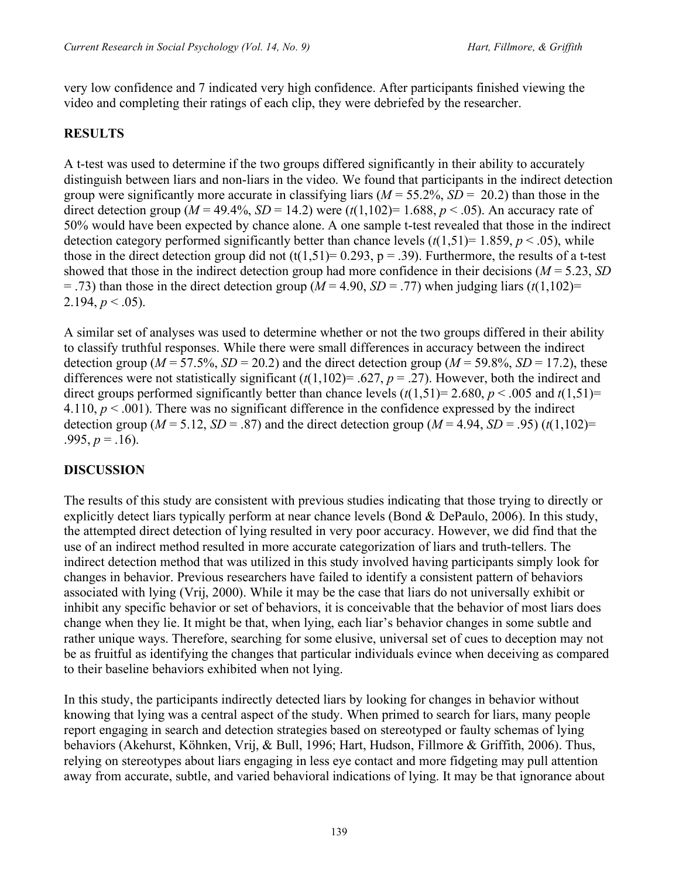very low confidence and 7 indicated very high confidence. After participants finished viewing the video and completing their ratings of each clip, they were debriefed by the researcher.

# **RESULTS**

A t-test was used to determine if the two groups differed significantly in their ability to accurately distinguish between liars and non-liars in the video. We found that participants in the indirect detection group were significantly more accurate in classifying liars  $(M = 55.2\% , SD = 20.2)$  than those in the direct detection group ( $M = 49.4\%$ ,  $SD = 14.2$ ) were ( $t(1,102) = 1.688$ ,  $p < .05$ ). An accuracy rate of 50% would have been expected by chance alone. A one sample t-test revealed that those in the indirect detection category performed significantly better than chance levels  $(t(1,51)=1.859, p<.05)$ , while those in the direct detection group did not  $(t(1,51)= 0.293, p = .39)$ . Furthermore, the results of a t-test showed that those in the indirect detection group had more confidence in their decisions (*M* = 5.23, *SD*  $=$  .73) than those in the direct detection group ( $M = 4.90$ ,  $SD = .77$ ) when judging liars ( $t(1,102)$ = 2.194,  $p < .05$ ).

A similar set of analyses was used to determine whether or not the two groups differed in their ability to classify truthful responses. While there were small differences in accuracy between the indirect detection group ( $M = 57.5\%$ ,  $SD = 20.2$ ) and the direct detection group ( $M = 59.8\%$ ,  $SD = 17.2$ ), these differences were not statistically significant  $(t(1,102)=0.627, p=.27)$ . However, both the indirect and direct groups performed significantly better than chance levels  $(t(1,51)=2.680, p < .005$  and  $t(1,51)=$ 4.110,  $p < .001$ ). There was no significant difference in the confidence expressed by the indirect detection group ( $M = 5.12$ ,  $SD = .87$ ) and the direct detection group ( $M = 4.94$ ,  $SD = .95$ ) ( $t(1,102) =$ .995,  $p = .16$ ).

# **DISCUSSION**

The results of this study are consistent with previous studies indicating that those trying to directly or explicitly detect liars typically perform at near chance levels (Bond & DePaulo, 2006). In this study, the attempted direct detection of lying resulted in very poor accuracy. However, we did find that the use of an indirect method resulted in more accurate categorization of liars and truth-tellers. The indirect detection method that was utilized in this study involved having participants simply look for changes in behavior. Previous researchers have failed to identify a consistent pattern of behaviors associated with lying (Vrij, 2000). While it may be the case that liars do not universally exhibit or inhibit any specific behavior or set of behaviors, it is conceivable that the behavior of most liars does change when they lie. It might be that, when lying, each liar's behavior changes in some subtle and rather unique ways. Therefore, searching for some elusive, universal set of cues to deception may not be as fruitful as identifying the changes that particular individuals evince when deceiving as compared to their baseline behaviors exhibited when not lying.

In this study, the participants indirectly detected liars by looking for changes in behavior without knowing that lying was a central aspect of the study. When primed to search for liars, many people report engaging in search and detection strategies based on stereotyped or faulty schemas of lying behaviors (Akehurst, Köhnken, Vrij, & Bull, 1996; Hart, Hudson, Fillmore & Griffith, 2006). Thus, relying on stereotypes about liars engaging in less eye contact and more fidgeting may pull attention away from accurate, subtle, and varied behavioral indications of lying. It may be that ignorance about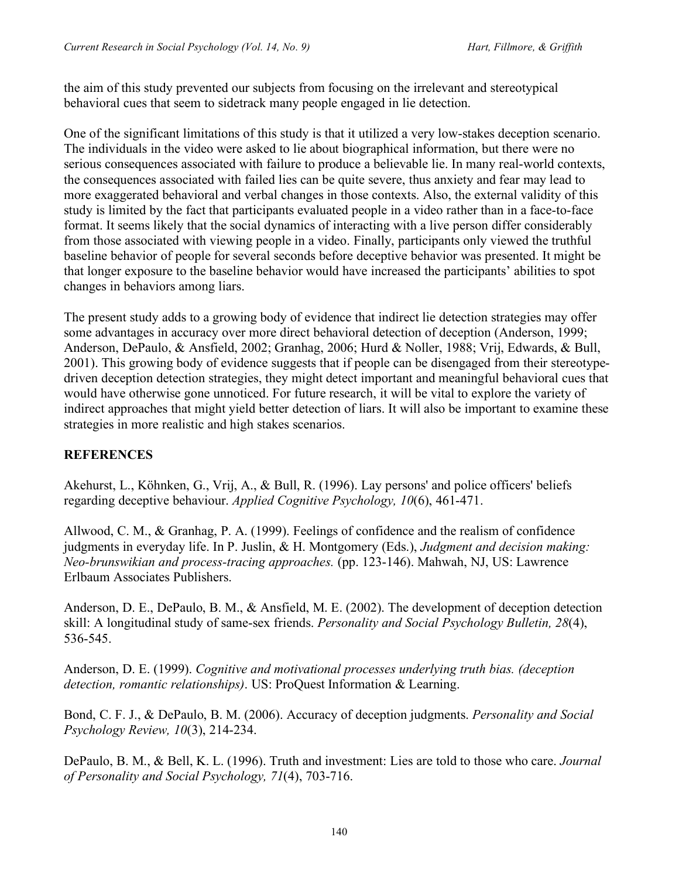the aim of this study prevented our subjects from focusing on the irrelevant and stereotypical behavioral cues that seem to sidetrack many people engaged in lie detection.

One of the significant limitations of this study is that it utilized a very low-stakes deception scenario. The individuals in the video were asked to lie about biographical information, but there were no serious consequences associated with failure to produce a believable lie. In many real-world contexts, the consequences associated with failed lies can be quite severe, thus anxiety and fear may lead to more exaggerated behavioral and verbal changes in those contexts. Also, the external validity of this study is limited by the fact that participants evaluated people in a video rather than in a face-to-face format. It seems likely that the social dynamics of interacting with a live person differ considerably from those associated with viewing people in a video. Finally, participants only viewed the truthful baseline behavior of people for several seconds before deceptive behavior was presented. It might be that longer exposure to the baseline behavior would have increased the participants' abilities to spot changes in behaviors among liars.

The present study adds to a growing body of evidence that indirect lie detection strategies may offer some advantages in accuracy over more direct behavioral detection of deception (Anderson, 1999; Anderson, DePaulo, & Ansfield, 2002; Granhag, 2006; Hurd & Noller, 1988; Vrij, Edwards, & Bull, 2001). This growing body of evidence suggests that if people can be disengaged from their stereotypedriven deception detection strategies, they might detect important and meaningful behavioral cues that would have otherwise gone unnoticed. For future research, it will be vital to explore the variety of indirect approaches that might yield better detection of liars. It will also be important to examine these strategies in more realistic and high stakes scenarios.

## **REFERENCES**

Akehurst, L., Köhnken, G., Vrij, A., & Bull, R. (1996). Lay persons' and police officers' beliefs regarding deceptive behaviour. *Applied Cognitive Psychology, 10*(6), 461-471.

Allwood, C. M., & Granhag, P. A. (1999). Feelings of confidence and the realism of confidence judgments in everyday life. In P. Juslin, & H. Montgomery (Eds.), *Judgment and decision making: Neo-brunswikian and process-tracing approaches.* (pp. 123-146). Mahwah, NJ, US: Lawrence Erlbaum Associates Publishers.

Anderson, D. E., DePaulo, B. M., & Ansfield, M. E. (2002). The development of deception detection skill: A longitudinal study of same-sex friends. *Personality and Social Psychology Bulletin, 28*(4), 536-545.

Anderson, D. E. (1999). *Cognitive and motivational processes underlying truth bias. (deception detection, romantic relationships)*. US: ProQuest Information & Learning.

Bond, C. F. J., & DePaulo, B. M. (2006). Accuracy of deception judgments. *Personality and Social Psychology Review, 10*(3), 214-234.

DePaulo, B. M., & Bell, K. L. (1996). Truth and investment: Lies are told to those who care. *Journal of Personality and Social Psychology, 71*(4), 703-716.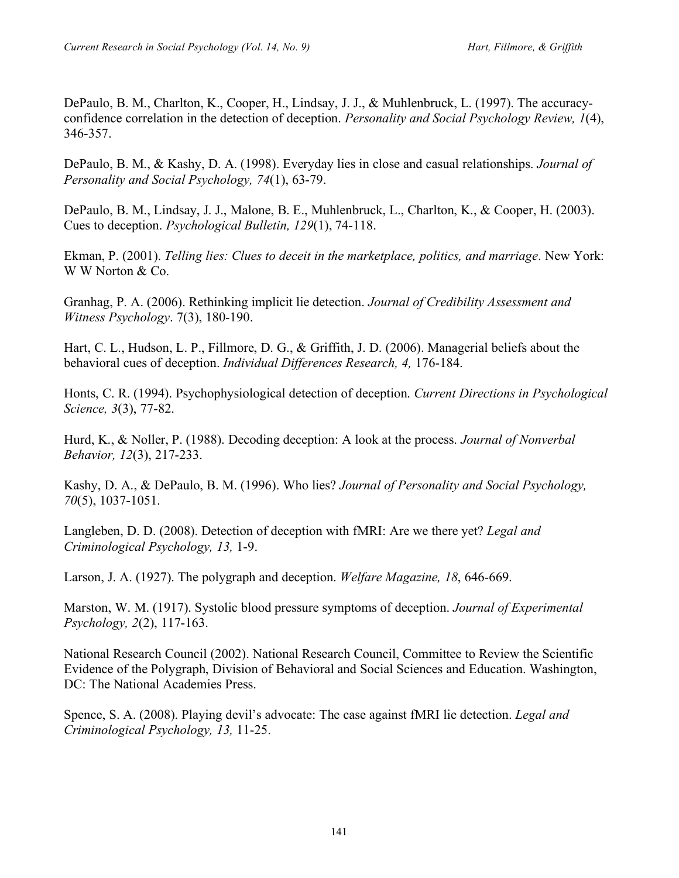DePaulo, B. M., Charlton, K., Cooper, H., Lindsay, J. J., & Muhlenbruck, L. (1997). The accuracyconfidence correlation in the detection of deception. *Personality and Social Psychology Review, 1*(4), 346-357.

DePaulo, B. M., & Kashy, D. A. (1998). Everyday lies in close and casual relationships. *Journal of Personality and Social Psychology, 74*(1), 63-79.

DePaulo, B. M., Lindsay, J. J., Malone, B. E., Muhlenbruck, L., Charlton, K., & Cooper, H. (2003). Cues to deception. *Psychological Bulletin, 129*(1), 74-118.

Ekman, P. (2001). *Telling lies: Clues to deceit in the marketplace, politics, and marriage*. New York: W W Norton & Co.

Granhag, P. A. (2006). Rethinking implicit lie detection. *Journal of Credibility Assessment and Witness Psychology*. 7(3), 180-190.

Hart, C. L., Hudson, L. P., Fillmore, D. G., & Griffith, J. D. (2006). Managerial beliefs about the behavioral cues of deception. *Individual Differences Research, 4,* 176-184.

Honts, C. R. (1994). Psychophysiological detection of deception. *Current Directions in Psychological Science, 3*(3), 77-82.

Hurd, K., & Noller, P. (1988). Decoding deception: A look at the process. *Journal of Nonverbal Behavior, 12*(3), 217-233.

Kashy, D. A., & DePaulo, B. M. (1996). Who lies? *Journal of Personality and Social Psychology, 70*(5), 1037-1051.

Langleben, D. D. (2008). Detection of deception with fMRI: Are we there yet? *Legal and Criminological Psychology, 13,* 1-9.

Larson, J. A. (1927). The polygraph and deception. *Welfare Magazine, 18*, 646-669.

Marston, W. M. (1917). Systolic blood pressure symptoms of deception. *Journal of Experimental Psychology, 2*(2), 117-163.

National Research Council (2002). National Research Council, Committee to Review the Scientific Evidence of the Polygraph, Division of Behavioral and Social Sciences and Education. Washington, DC: The National Academies Press.

Spence, S. A. (2008). Playing devil's advocate: The case against fMRI lie detection. *Legal and Criminological Psychology, 13,* 11-25.